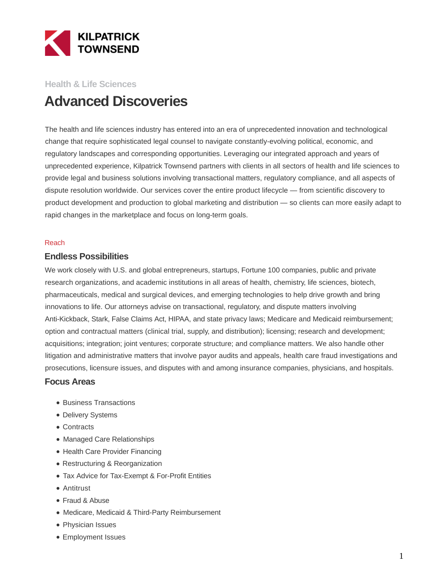

# **Health & Life Sciences Advanced Discoveries**

The health and life sciences industry has entered into an era of unprecedented innovation and technological change that require sophisticated legal counsel to navigate constantly-evolving political, economic, and regulatory landscapes and corresponding opportunities. Leveraging our integrated approach and years of unprecedented experience, Kilpatrick Townsend partners with clients in all sectors of health and life sciences to provide legal and business solutions involving transactional matters, regulatory compliance, and all aspects of dispute resolution worldwide. Our services cover the entire product lifecycle — from scientific discovery to product development and production to global marketing and distribution — so clients can more easily adapt to rapid changes in the marketplace and focus on long-term goals.

#### Reach

### **Endless Possibilities**

We work closely with U.S. and global entrepreneurs, startups, Fortune 100 companies, public and private research organizations, and academic institutions in all areas of health, chemistry, life sciences, biotech, pharmaceuticals, medical and surgical devices, and emerging technologies to help drive growth and bring innovations to life. Our attorneys advise on transactional, regulatory, and dispute matters involving Anti-Kickback, Stark, False Claims Act, HIPAA, and state privacy laws; Medicare and Medicaid reimbursement; option and contractual matters (clinical trial, supply, and distribution); licensing; research and development; acquisitions; integration; joint ventures; corporate structure; and compliance matters. We also handle other litigation and administrative matters that involve payor audits and appeals, health care fraud investigations and prosecutions, licensure issues, and disputes with and among insurance companies, physicians, and hospitals.

### **Focus Areas**

- Business Transactions
- Delivery Systems
- Contracts
- Managed Care Relationships
- Health Care Provider Financing
- Restructuring & Reorganization
- Tax Advice for Tax-Exempt & For-Profit Entities
- Antitrust
- Fraud & Abuse
- Medicare, Medicaid & Third-Party Reimbursement
- Physician Issues
- Employment Issues